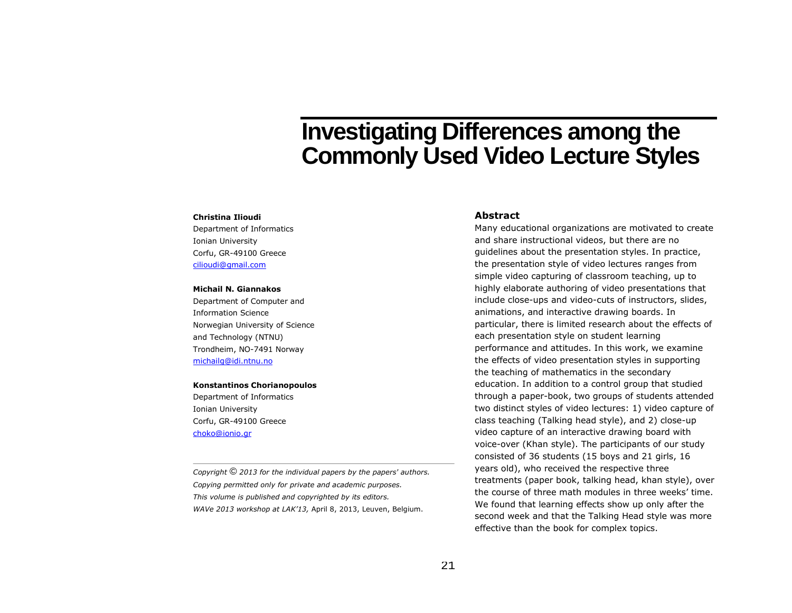# **Investigating Differences among the Commonly Used Video Lecture Styles**

#### **Christina Ilioudi**

Department of Informatics Ionian University Corfu, GR-49100 Greece [cilioudi@gmail.com](mailto:cilioudi@gmail.com) 

#### **Michail N. Giannakos**

Department of Computer and Information Science Norwegian University of Science and Technology (NTNU) Trondheim, NO-7491 Norway [michailg@idi.ntnu.no](mailto:michailg@idi.ntnu.no)

#### **Konstantinos Chorianopoulos**

Department of Informatics Ionian University Corfu, GR-49100 Greece [choko@ionio.gr](mailto:choko@ionio.gr)

*Copyright* © *<sup>2013</sup> for the individual papers by the papers' authors. Copying permitted only for private and academic purposes. This volume is published and copyrighted by its editors. WAVe 2013 workshop at LAK'13,* April 8, 2013, Leuven, Belgium.

# **Abstract**

Many educational organizations are motivated to create and share instructional videos, but there are no guidelines about the presentation styles. In practice, the presentation style of video lectures ranges from simple video capturing of classroom teaching, up to highly elaborate authoring of video presentations that include close-ups and video-cuts of instructors, slides, animations, and interactive drawing boards. In particular, there is limited research about the effects of each presentation style on student learning performance and attitudes. In this work, we examine the effects of video presentation styles in supporting the teaching of mathematics in the secondary education. In addition to a control group that studied through a paper-book, two groups of students attended two distinct styles of video lectures: 1) video capture of class teaching (Talking head style), and 2) close-up video capture of an interactive drawing board with voice-over (Khan style). The participants of our study consisted of 36 students (15 boys and 21 girls, 16 years old), who received the respective three treatments (paper book, talking head, khan style), over the course of three math modules in three weeks' time. We found that learning effects show up only after the second week and that the Talking Head style was more effective than the book for complex topics.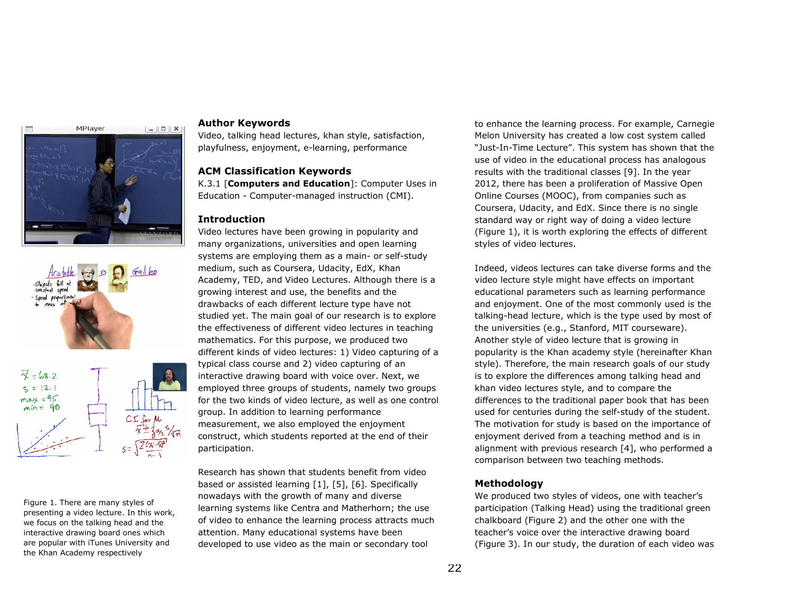



Figure 1. There are many styles of presenting a video lecture. In this work, we focus on the talking head and the interactive drawing board ones which are popular with iTunes University and the Khan Academy respectively

# **Author Keywords**

Video, talking head lectures, khan style, satisfaction, playfulness, enjoyment, e-learning, performance

# **ACM Classification Keywords**

K.3.1 [**Computers and Education**]: Computer Uses in Education - Computer-managed instruction (CMI).

# **Introduction**

Video lectures have been growing in popularity and many organizations, universities and open learning systems are employing them as a main- or self-study medium, such as Coursera, Udacity, EdX, Khan Academy, TED, and Video Lectures. Although there is a growing interest and use, the benefits and the drawbacks of each different lecture type have not studied yet. The main goal of our research is to explore the effectiveness of different video lectures in teaching mathematics. For this purpose, we produced two different kinds of video lectures: 1) Video capturing of a typical class course and 2) video capturing of an interactive drawing board with voice over. Next, we employed three groups of students, namely two groups for the two kinds of video lecture, as well as one control group. In addition to learning performance measurement, we also employed the enjoyment construct, which students reported at the end of their participation.

Research has shown that students benefit from video based or assisted learning [1], [5], [6]. Specifically nowadays with the growth of many and diverse learning systems like Centra and Matherhorn; the use of video to enhance the learning process attracts much attention. Many educational systems have been developed to use video as the main or secondary tool

to enhance the learning process. For example, Carnegie Melon University has created a low cost system called "Just-In-Time Lecture". This system has shown that the use of video in the educational process has analogous results with the traditional classes [9]. In the year 2012, there has been a proliferation of Massive Open Online Courses (MOOC), from companies such as Coursera, Udacity, and EdX. Since there is no single standard way or right way of doing a video lecture (Figure 1), it is worth exploring the effects of different styles of video lectures.

Indeed, videos lectures can take diverse forms and the video lecture style might have effects on important educational parameters such as learning performance and enjoyment. One of the most commonly used is the talking-head lecture, which is the type used by most of the universities (e.g., Stanford, MIT courseware). Another style of video lecture that is growing in popularity is the Khan academy style (hereinafter Khan style). Therefore, the main research goals of our study is to explore the differences among talking head and khan video lectures style, and to compare the differences to the traditional paper book that has been used for centuries during the self-study of the student. The motivation for study is based on the importance of enjoyment derived from a teaching method and is in alignment with previous research [4], who performed a comparison between two teaching methods.

# **Methodology**

We produced two styles of videos, one with teacher's participation (Talking Head) using the traditional green chalkboard (Figure 2) and the other one with the teacher's voice over the interactive drawing board (Figure 3). In our study, the duration of each video was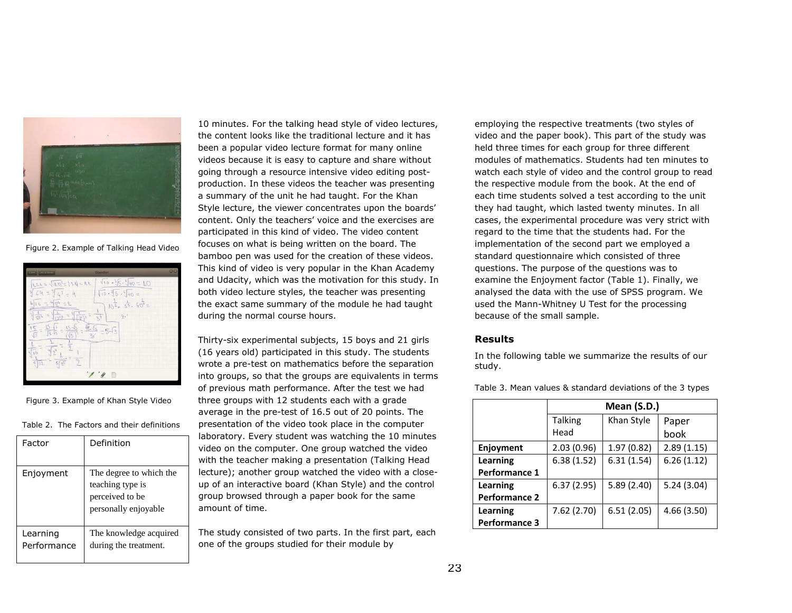

Figure 2. Example of Talking Head Video

| <b>STATE SHOTT</b>                                                      | <b>Doother</b>                           | 80 |
|-------------------------------------------------------------------------|------------------------------------------|----|
| $LLL = \sqrt{(LN^2 -  L )/2} = IL$                                      | $\sqrt{10} - 35.96 = 10$                 |    |
| $=$ <sup>3</sup> $L^3$<br>31                                            | 10.35.90<br>$=$                          |    |
| 404<br>16<br>Ξ<br>ų                                                     | $10^{\frac{1}{2}}$ 53. 40 <sup>6</sup> = |    |
| $\frac{1}{97}$ 4<br>9<br>$=$                                            | $\overline{\delta}$<br>31<br>$[3^{i}]$   |    |
| $\sqrt{2}$<br>š<br>ES.<br>IS.<br>15<br>3.13<br>$\sqrt{3}$<br>$\sqrt{3}$ | 医后<br>$-5-\sqrt{3}$                      |    |
| 叫                                                                       |                                          |    |
| 532<br>$5\sqrt{n^5}$                                                    |                                          |    |
|                                                                         | 顺                                        |    |

Figure 3. Example of Khan Style Video

Table 2. The Factors and their definitions

| Factor                  | Definition                                                                             |
|-------------------------|----------------------------------------------------------------------------------------|
| Enjoyment               | The degree to which the<br>teaching type is<br>perceived to be<br>personally enjoyable |
| Learning<br>Performance | The knowledge acquired<br>during the treatment.                                        |

10 minutes. For the talking head style of video lectures, the content looks like the traditional lecture and it has been a popular video lecture format for many online videos because it is easy to capture and share without going through a resource intensive video editing postproduction. In these videos the teacher was presenting a summary of the unit he had taught. For the Khan Style lecture, the viewer concentrates upon the boards' content. Only the teachers' voice and the exercises are participated in this kind of video. The video content focuses on what is being written on the board. The bamboo pen was used for the creation of these videos. This kind of video is very popular in the Khan Academy and Udacity, which was the motivation for this study. In both video lecture styles, the teacher was presenting the exact same summary of the module he had taught during the normal course hours.

Thirty-six experimental subjects, 15 boys and 21 girls (16 years old) participated in this study. The students wrote a pre-test on mathematics before the separation into groups, so that the groups are equivalents in terms of previous math performance. After the test we had three groups with 12 students each with a grade average in the pre-test of 16.5 out of 20 points. The presentation of the video took place in the computer laboratory. Every student was watching the 10 minutes video on the computer. One group watched the video with the teacher making a presentation (Talking Head lecture); another group watched the video with a closeup of an interactive board (Khan Style) and the control group browsed through a paper book for the same amount of time.

The study consisted of two parts. In the first part, each one of the groups studied for their module by

employing the respective treatments (two styles of video and the paper book). This part of the study was held three times for each group for three different modules of mathematics. Students had ten minutes to watch each style of video and the control group to read the respective module from the book. At the end of each time students solved a test according to the unit they had taught, which lasted twenty minutes. In all cases, the experimental procedure was very strict with regard to the time that the students had. For the implementation of the second part we employed a standard questionnaire which consisted of three questions. The purpose of the questions was to examine the Enjoyment factor (Table 1). Finally, we analysed the data with the use of SPSS program. We used the Mann-Whitney U Test for the processing because of the small sample.

# **Results**

In the following table we summarize the results of our study.

Table 3. Mean values & standard deviations of the 3 types

|                      | Mean (S.D.)    |            |            |  |  |
|----------------------|----------------|------------|------------|--|--|
|                      | <b>Talking</b> | Khan Style | Paper      |  |  |
|                      | Head           |            | book       |  |  |
| Enjoyment            | 2.03(0.96)     | 1.97(0.82) | 2.89(1.15) |  |  |
| Learning             | 6.38(1.52)     | 6.31(1.54) | 6.26(1.12) |  |  |
| Performance 1        |                |            |            |  |  |
| Learning             | 6.37(2.95)     | 5.89(2.40) | 5.24(3.04) |  |  |
| <b>Performance 2</b> |                |            |            |  |  |
| Learning             | 7.62 (2.70)    | 6.51(2.05) | 4.66(3.50) |  |  |
| <b>Performance 3</b> |                |            |            |  |  |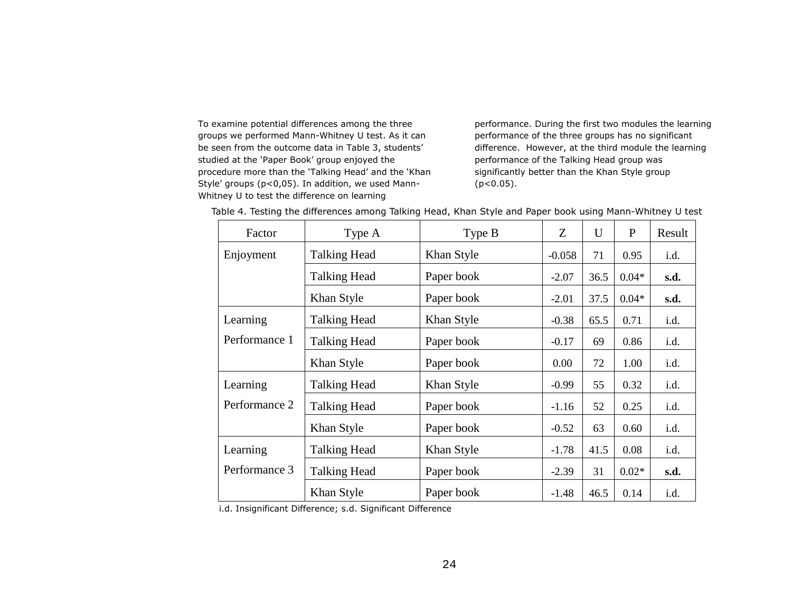To examine potential differences among the three groups we performed Mann-Whitney U test. As it can be seen from the outcome data in Table 3, students' studied at the 'Paper Book' group enjoyed the procedure more than the 'Talking Head' and the 'Khan Style' groups (p<0,05). In addition, we used Mann-Whitney U to test the difference on learning

performance. During the first two modules the learning performance of the three groups has no significant difference. However, at the third module the learning performance of the Talking Head group was significantly better than the Khan Style group  $(p<0.05)$ .

| Factor        | Type A              | Type B     | Z        | U    | P       | Result |
|---------------|---------------------|------------|----------|------|---------|--------|
| Enjoyment     | <b>Talking Head</b> | Khan Style | $-0.058$ | 71   | 0.95    | i.d.   |
|               | <b>Talking Head</b> | Paper book | $-2.07$  | 36.5 | $0.04*$ | s.d.   |
|               | Khan Style          | Paper book | $-2.01$  | 37.5 | $0.04*$ | s.d.   |
| Learning      | <b>Talking Head</b> | Khan Style | $-0.38$  | 65.5 | 0.71    | i.d.   |
| Performance 1 | <b>Talking Head</b> | Paper book | $-0.17$  | 69   | 0.86    | i.d.   |
|               | Khan Style          | Paper book | 0.00     | 72   | 1.00    | i.d.   |
| Learning      | <b>Talking Head</b> | Khan Style | $-0.99$  | 55   | 0.32    | i.d.   |
| Performance 2 | <b>Talking Head</b> | Paper book | $-1.16$  | 52   | 0.25    | i.d.   |
|               | Khan Style          | Paper book | $-0.52$  | 63   | 0.60    | i.d.   |
| Learning      | <b>Talking Head</b> | Khan Style | $-1.78$  | 41.5 | 0.08    | i.d.   |
| Performance 3 | <b>Talking Head</b> | Paper book | $-2.39$  | 31   | $0.02*$ | s.d.   |
|               | Khan Style          | Paper book | $-1.48$  | 46.5 | 0.14    | i.d.   |

Table 4. Testing the differences among Talking Head, Khan Style and Paper book using Mann-Whitney U test

i.d. Insignificant Difference; s.d. Significant Difference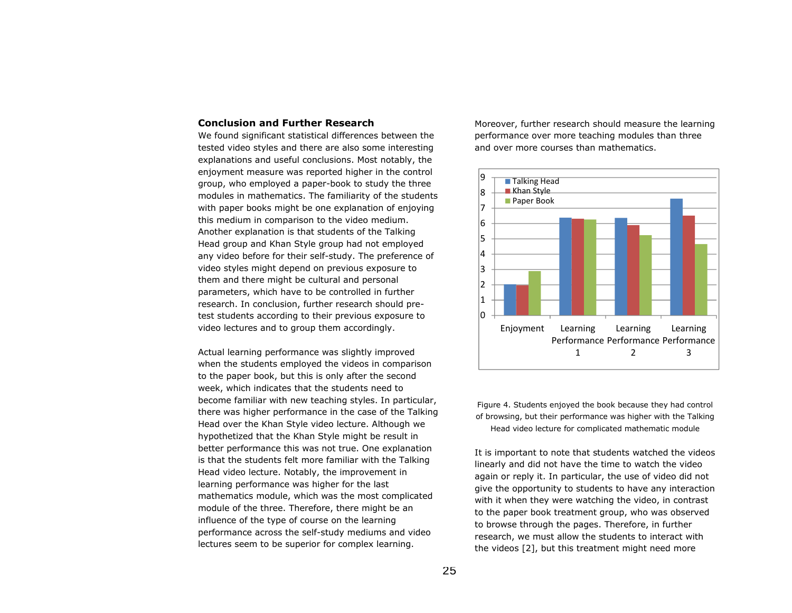# **Conclusion and Further Research**

We found significant statistical differences between the tested video styles and there are also some interesting explanations and useful conclusions. Most notably, the enjoyment measure was reported higher in the control group, who employed a paper-book to study the three modules in mathematics. The familiarity of the students with paper books might be one explanation of enjoying this medium in comparison to the video medium. Another explanation is that students of the Talking Head group and Khan Style group had not employed any video before for their self-study. The preference of video styles might depend on previous exposure to them and there might be cultural and personal parameters, which have to be controlled in further research. In conclusion, further research should pretest students according to their previous exposure to video lectures and to group them accordingly.

Actual learning performance was slightly improved when the students employed the videos in comparison to the paper book, but this is only after the second week, which indicates that the students need to become familiar with new teaching styles. In particular, there was higher performance in the case of the Talking Head over the Khan Style video lecture. Although we hypothetized that the Khan Style might be result in better performance this was not true. One explanation is that the students felt more familiar with the Talking Head video lecture. Notably, the improvement in learning performance was higher for the last mathematics module, which was the most complicated module of the three. Therefore, there might be an influence of the type of course on the learning performance across the self-study mediums and video lectures seem to be superior for complex learning.

Moreover, further research should measure the learning performance over more teaching modules than three and over more courses than mathematics.



Figure 4. Students enjoyed the book because they had control of browsing, but their performance was higher with the Talking Head video lecture for complicated mathematic module

It is important to note that students watched the videos linearly and did not have the time to watch the video again or reply it. In particular, the use of video did not give the opportunity to students to have any interaction with it when they were watching the video, in contrast to the paper book treatment group, who was observed to browse through the pages. Therefore, in further research, we must allow the students to interact with the videos [2], but this treatment might need more